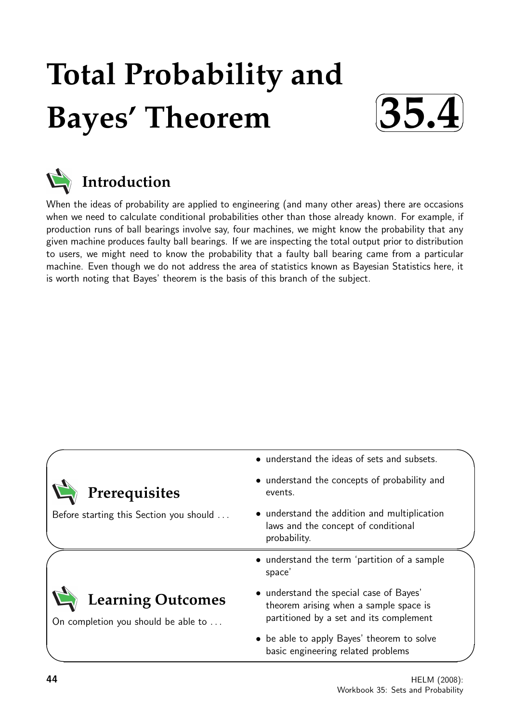# **Total Probability and Bayes' Theorem**





## **Introduction**

When the ideas of probability are applied to engineering (and many other areas) there are occasions when we need to calculate conditional probabilities other than those already known. For example, if production runs of ball bearings involve say, four machines, we might know the probability that any given machine produces faulty ball bearings. If we are inspecting the total output prior to distribution to users, we might need to know the probability that a faulty ball bearing came from a particular machine. Even though we do not address the area of statistics known as Bayesian Statistics here, it is worth noting that Bayes' theorem is the basis of this branch of the subject.

| Prerequisites                                                   | • understand the ideas of sets and subsets.<br>• understand the concepts of probability and<br>events.                       |
|-----------------------------------------------------------------|------------------------------------------------------------------------------------------------------------------------------|
| Before starting this Section you should                         | • understand the addition and multiplication<br>laws and the concept of conditional<br>probability.                          |
|                                                                 | • understand the term 'partition of a sample<br>space'                                                                       |
| <b>Learning Outcomes</b><br>On completion you should be able to | • understand the special case of Bayes'<br>theorem arising when a sample space is<br>partitioned by a set and its complement |
|                                                                 | • be able to apply Bayes' theorem to solve<br>basic engineering related problems                                             |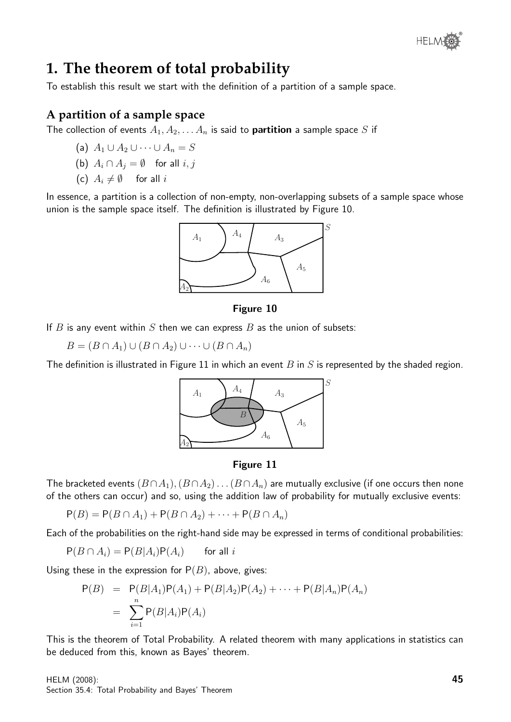

## **1. The theorem of total probability**

To establish this result we start with the definition of a partition of a sample space.

#### **A partition of a sample space**

The collection of events  $A_1, A_2, \ldots A_n$  is said to **partition** a sample space S if

- (a)  $A_1 \cup A_2 \cup \cdots \cup A_n = S$
- (b)  $A_i \cap A_j = \emptyset$  for all  $i, j$
- (c)  $A_i \neq \emptyset$  for all i

In essence, a partition is a collection of non-empty, non-overlapping subsets of a sample space whose union is the sample space itself. The definition is illustrated by Figure 10.



#### Figure 10

If  $B$  is any event within  $S$  then we can express  $B$  as the union of subsets:

 $B = (B \cap A_1) \cup (B \cap A_2) \cup \cdots \cup (B \cap A_n)$ 

The definition is illustrated in Figure 11 in which an event  $B$  in  $S$  is represented by the shaded region.



#### Figure 11

The bracketed events  $(B \cap A_1), (B \cap A_2) \dots (B \cap A_n)$  are mutually exclusive (if one occurs then none of the others can occur) and so, using the addition law of probability for mutually exclusive events:

 $P(B) = P(B \cap A_1) + P(B \cap A_2) + \cdots + P(B \cap A_n)$ 

Each of the probabilities on the right-hand side may be expressed in terms of conditional probabilities:

 $P(B \cap A_i) = P(B|A_i)P(A_i)$  for all i

Using these in the expression for  $P(B)$ , above, gives:

$$
P(B) = P(B|A_1)P(A_1) + P(B|A_2)P(A_2) + \cdots + P(B|A_n)P(A_n)
$$
  
= 
$$
\sum_{i=1}^{n} P(B|A_i)P(A_i)
$$

This is the theorem of Total Probability. A related theorem with many applications in statistics can be deduced from this, known as Bayes' theorem.

HELM (2008): Section 35.4: Total Probability and Bayes' Theorem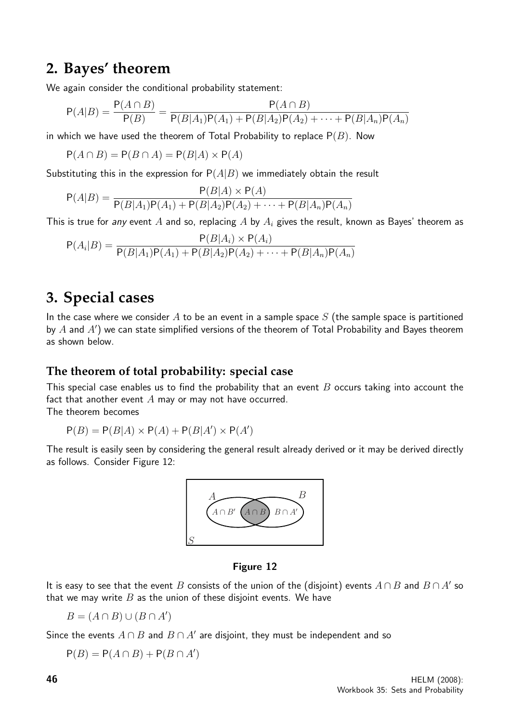### **2. Bayes' theorem**

We again consider the conditional probability statement:

$$
P(A|B) = \frac{P(A \cap B)}{P(B)} = \frac{P(A \cap B)}{P(B|A_1)P(A_1) + P(B|A_2)P(A_2) + \dots + P(B|A_n)P(A_n)}
$$

in which we have used the theorem of Total Probability to replace  $P(B)$ . Now

$$
P(A \cap B) = P(B \cap A) = P(B|A) \times P(A)
$$

Substituting this in the expression for  $P(A|B)$  we immediately obtain the result

$$
P(A|B) = \frac{P(B|A) \times P(A)}{P(B|A_1)P(A_1) + P(B|A_2)P(A_2) + \dots + P(B|A_n)P(A_n)}
$$

This is true for any event A and so, replacing A by  $A_i$  gives the result, known as Bayes' theorem as

$$
P(A_i|B) = \frac{P(B|A_i) \times P(A_i)}{P(B|A_1)P(A_1) + P(B|A_2)P(A_2) + \dots + P(B|A_n)P(A_n)}
$$

## **3. Special cases**

In the case where we consider A to be an event in a sample space  $S$  (the sample space is partitioned by  $A$  and  $A'$ ) we can state simplified versions of the theorem of Total Probability and Bayes theorem as shown below.

#### **The theorem of total probability: special case**

This special case enables us to find the probability that an event  $B$  occurs taking into account the fact that another event  $A$  may or may not have occurred.

The theorem becomes

$$
P(B) = P(B|A) \times P(A) + P(B|A') \times P(A')
$$

The result is easily seen by considering the general result already derived or it may be derived directly as follows. Consider Figure 12:



#### Figure 12

It is easy to see that the event  $B$  consists of the union of the (disjoint) events  $A\cap B$  and  $B\cap A'$  so that we may write  $B$  as the union of these disjoint events. We have

 $B = (A \cap B) \cup (B \cap A')$ 

Since the events  $A \cap B$  and  $B \cap A'$  are disjoint, they must be independent and so

 $P(B) = P(A \cap B) + P(B \cap A')$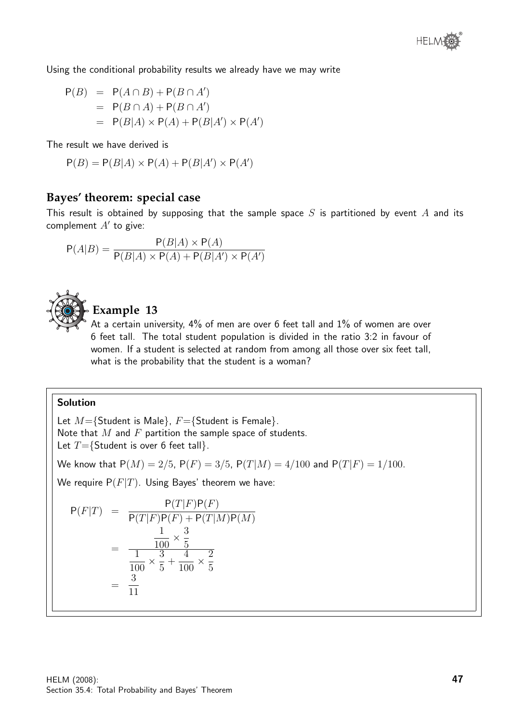Using the conditional probability results we already have we may write

$$
P(B) = P(A \cap B) + P(B \cap A')
$$
  
= P(B \cap A) + P(B \cap A')  
= P(B|A) \times P(A) + P(B|A') \times P(A')

The result we have derived is

$$
P(B) = P(B|A) \times P(A) + P(B|A') \times P(A')
$$

#### **Bayes' theorem: special case**

This result is obtained by supposing that the sample space  $S$  is partitioned by event  $A$  and its complement  $A'$  to give:

$$
P(A|B) = \frac{P(B|A) \times P(A)}{P(B|A) \times P(A) + P(B|A') \times P(A')}
$$



#### **Example 13**

At a certain university, 4% of men are over 6 feet tall and 1% of women are over 6 feet tall. The total student population is divided in the ratio 3:2 in favour of women. If a student is selected at random from among all those over six feet tall, what is the probability that the student is a woman?

#### Solution

Let  $M=\{$ Student is Male $\}$ ,  $F=\{$ Student is Female $\}$ . Note that  $M$  and  $F$  partition the sample space of students. Let  $T=\{$ Student is over 6 feet tall $\}$ .

We know that  $P(M) = 2/5$ ,  $P(F) = 3/5$ ,  $P(T|M) = 4/100$  and  $P(T|F) = 1/100$ .

We require  $P(F|T)$ . Using Bayes' theorem we have:

$$
P(F|T) = \frac{P(T|F)P(F)}{P(T|F)P(F) + P(T|M)P(M)}
$$
  
= 
$$
\frac{\frac{1}{100} \times \frac{3}{5}}{\frac{1}{100} \times \frac{3}{5} + \frac{4}{100} \times \frac{2}{5}}
$$
  
= 
$$
\frac{3}{11}
$$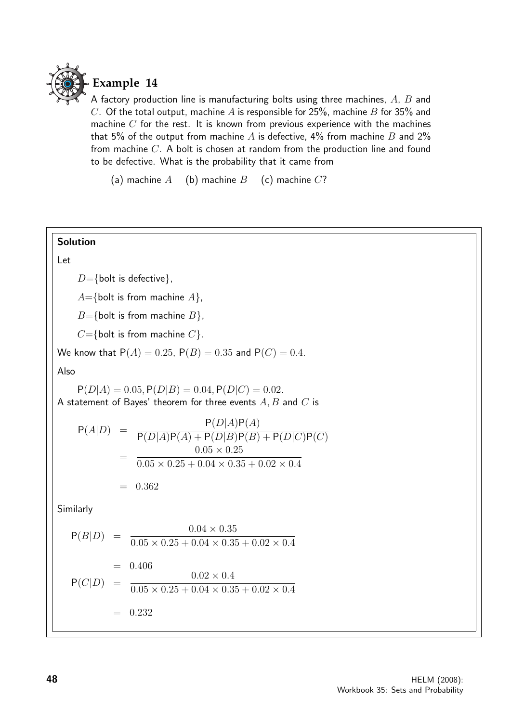

A factory production line is manufacturing bolts using three machines, A, B and C. Of the total output, machine A is responsible for 25%, machine B for 35% and machine  $C$  for the rest. It is known from previous experience with the machines that 5% of the output from machine A is defective, 4% from machine B and 2% from machine C. A bolt is chosen at random from the production line and found to be defective. What is the probability that it came from

(a) machine  $A$  (b) machine  $B$  (c) machine  $C$ ?

#### Solution

#### Let

 $D = \{$  bolt is defective $\}$ ,

 $A=\{\text{bolt is from machine } A\},\$ 

 $B=\{\text{bolt is from machine } B\},\$ 

 $C=\{\text{bolt is from machine } C\}.$ 

We know that  $P(A) = 0.25$ ,  $P(B) = 0.35$  and  $P(C) = 0.4$ .

Also

 $P(D|A) = 0.05, P(D|B) = 0.04, P(D|C) = 0.02.$ A statement of Bayes' theorem for three events  $A, B$  and  $C$  is

$$
P(A|D) = \frac{P(D|A)P(A)}{P(D|A)P(A) + P(D|B)P(B) + P(D|C)P(C)}
$$
  
= 
$$
\frac{0.05 \times 0.25}{0.05 \times 0.25 + 0.04 \times 0.35 + 0.02 \times 0.4}
$$
  
= 0.362

Similarly

$$
P(B|D) = \frac{0.04 \times 0.35}{0.05 \times 0.25 + 0.04 \times 0.35 + 0.02 \times 0.4}
$$
  
= 0.406  

$$
P(C|D) = \frac{0.02 \times 0.4}{0.05 \times 0.25 + 0.04 \times 0.35 + 0.02 \times 0.4}
$$
  
= 0.232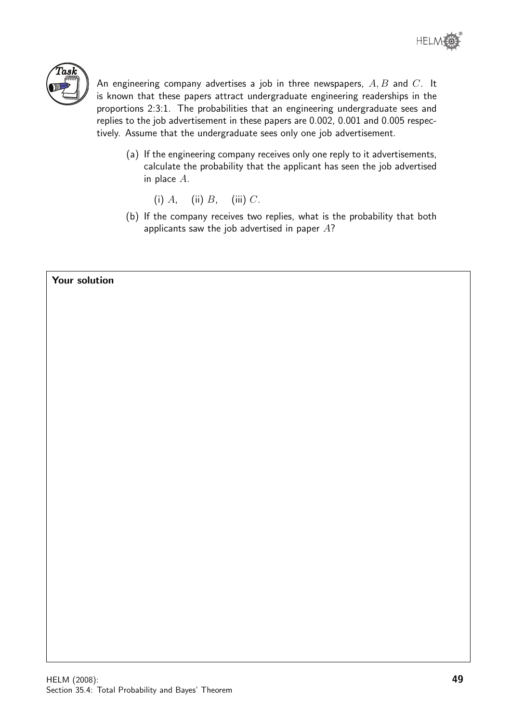

An engineering company advertises a job in three newspapers,  $A, B$  and  $C$ . It is known that these papers attract undergraduate engineering readerships in the proportions 2:3:1. The probabilities that an engineering undergraduate sees and replies to the job advertisement in these papers are 0.002, 0.001 and 0.005 respectively. Assume that the undergraduate sees only one job advertisement.

- (a) If the engineering company receives only one reply to it advertisements, calculate the probability that the applicant has seen the job advertised in place A.
	- (i)  $A$ , (ii)  $B$ , (iii)  $C$ .
- (b) If the company receives two replies, what is the probability that both applicants saw the job advertised in paper  $A$ ?

#### Your solution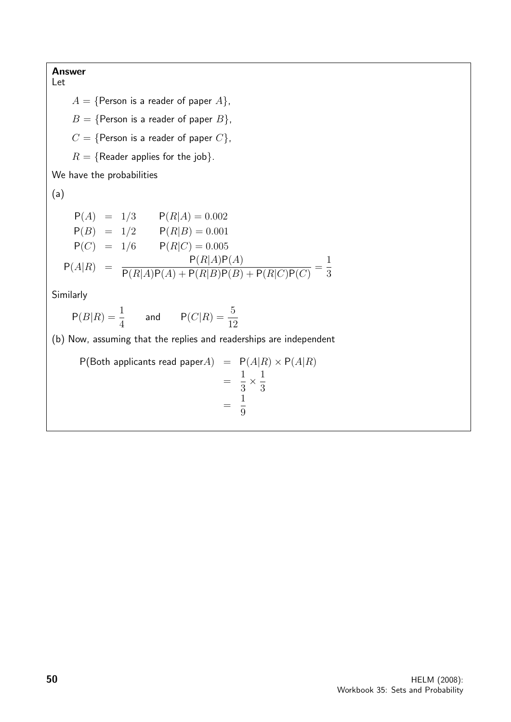#### Answer

Let  $A = \{$ Person is a reader of paper  $A\}$ ,  $B = \{$ Person is a reader of paper  $B\}$ ,  $C = \{$ Person is a reader of paper  $C\}$ ,  $R = \{$ Reader applies for the job $\}.$ We have the probabilities (a)  $P(A) = 1/3$   $P(R|A) = 0.002$  $P(B) = 1/2$   $P(R|B) = 0.001$  $P(C) = 1/6$   $P(R|C) = 0.005$  $P(A|R) = \frac{P(R|A)P(A)}{P(R|B)P(A) + P(R|B)P(B)}$  $P(R|A)P(A) + P(R|B)P(B) + P(R|C)P(C)$ = 1 3 Similarly  $P(B|R) = \frac{1}{4}$ 4 and  $P(C|R) = \frac{5}{16}$ 12 (b) Now, assuming that the replies and readerships are independent  $P(Both$  applicants read paper $A) = P(A|R) \times P(A|R)$ = 1 3  $\times \frac{1}{2}$ 3 = 1 9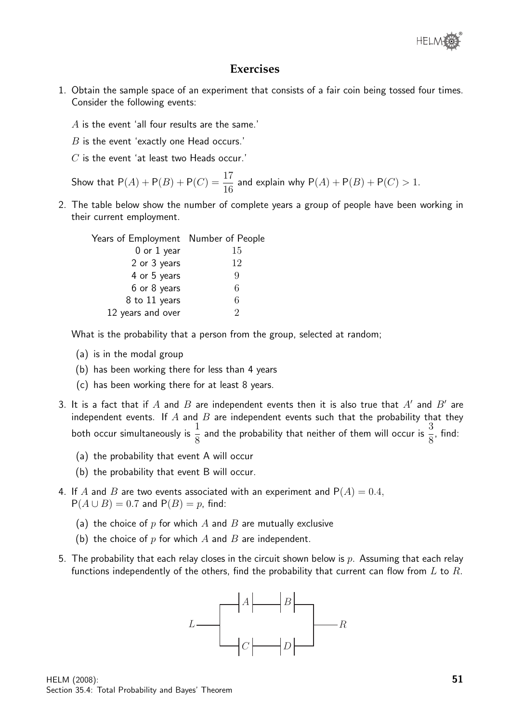

#### **Exercises**

- 1. Obtain the sample space of an experiment that consists of a fair coin being tossed four times. Consider the following events:
	- A is the event 'all four results are the same.'
	- $B$  is the event 'exactly one Head occurs.'
	- $C$  is the event 'at least two Heads occur.'

Show that  $P(A) + P(B) + P(C) = \frac{17}{16}$ 16 and explain why  $P(A) + P(B) + P(C) > 1$ .

2. The table below show the number of complete years a group of people have been working in their current employment.

| Years of Employment Number of People |                             |
|--------------------------------------|-----------------------------|
| $0$ or $1$ year                      | 15                          |
| 2 or 3 years                         | 12                          |
| 4 or 5 years                         | 9                           |
| 6 or 8 years                         | 6                           |
| 8 to 11 years                        | 6                           |
| 12 years and over                    | $\mathcal{D}_{\mathcal{L}}$ |
|                                      |                             |

What is the probability that a person from the group, selected at random;

- (a) is in the modal group
- (b) has been working there for less than 4 years
- (c) has been working there for at least 8 years.
- 3. It is a fact that if  $A$  and  $B$  are independent events then it is also true that  $A'$  and  $B'$  are independent events. If  $A$  and  $B$  are independent events such that the probability that they both occur simultaneously is  $\frac{1}{2}$ 8 and the probability that neither of them will occur is  $\frac{3}{5}$ 8 , find:
	- (a) the probability that event A will occur
	- (b) the probability that event B will occur.
- 4. If A and B are two events associated with an experiment and  $P(A) = 0.4$ ,  $P(A \cup B) = 0.7$  and  $P(B) = p$ , find:
	- (a) the choice of  $p$  for which  $A$  and  $B$  are mutually exclusive
	- (b) the choice of p for which A and B are independent.
- 5. The probability that each relay closes in the circuit shown below is p. Assuming that each relay functions independently of the others, find the probability that current can flow from  $L$  to  $R$ .

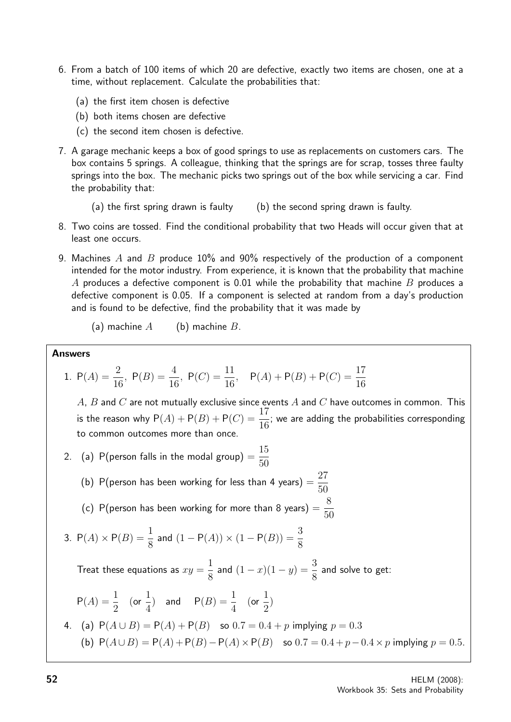- 6. From a batch of 100 items of which 20 are defective, exactly two items are chosen, one at a time, without replacement. Calculate the probabilities that:
	- (a) the first item chosen is defective
	- (b) both items chosen are defective
	- (c) the second item chosen is defective.
- 7. A garage mechanic keeps a box of good springs to use as replacements on customers cars. The box contains 5 springs. A colleague, thinking that the springs are for scrap, tosses three faulty springs into the box. The mechanic picks two springs out of the box while servicing a car. Find the probability that:
	- (a) the first spring drawn is faulty (b) the second spring drawn is faulty.
- 8. Two coins are tossed. Find the conditional probability that two Heads will occur given that at least one occurs.
- 9. Machines A and B produce 10% and 90% respectively of the production of a component intended for the motor industry. From experience, it is known that the probability that machine A produces a defective component is 0.01 while the probability that machine B produces a defective component is 0.05. If a component is selected at random from a day's production and is found to be defective, find the probability that it was made by

(a) machine  $A$  (b) machine  $B$ .

#### Answers

1. 
$$
P(A) = \frac{2}{16}
$$
,  $P(B) = \frac{4}{16}$ ,  $P(C) = \frac{11}{16}$ ,  $P(A) + P(B) + P(C) = \frac{17}{16}$ 

A,  $B$  and  $C$  are not mutually exclusive since events  $A$  and  $C$  have outcomes in common. This is the reason why  $P(A) + P(B) + P(C) = \frac{17}{16}$ 16 ; we are adding the probabilities corresponding to common outcomes more than once.

50

- 2. (a)  $P(\hbox{\small person}~\hbox{\small files}~\hbox{\small in the modal group})=$ 15 50
	- (b) P(person has been working for less than 4 years)  $=$ 27 50 (c) P(person has been working for more than 8 years)  $=$ 8
- 3.  $P(A) \times P(B) = \frac{1}{2}$ and  $(1 - P(A)) \times (1 - P(B)) = \frac{3}{2}$

8 8

Treat these equations as  $xy =$ 1 8 and  $(1-x)(1-y) = \frac{3}{2}$ 8 and solve to get:

$$
P(A) = \frac{1}{2}
$$
 (or  $\frac{1}{4}$ ) and  $P(B) = \frac{1}{4}$  (or  $\frac{1}{2}$ )

4. (a) 
$$
P(A \cup B) = P(A) + P(B)
$$
 so  $0.7 = 0.4 + p$  implying  $p = 0.3$   
(b)  $P(A \cup B) = P(A) + P(B) - P(A) \times P(B)$  so  $0.7 = 0.4 + p - 0.4 \times p$  implying  $p = 0.5$ .